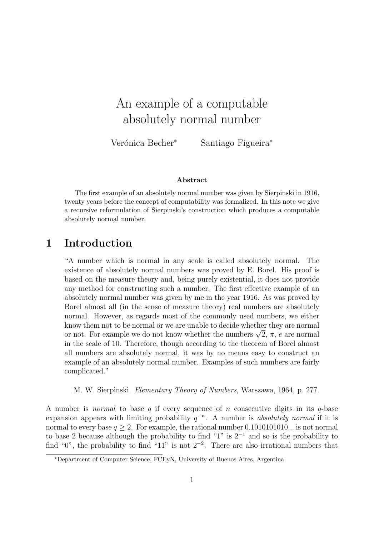# An example of a computable absolutely normal number

Verónica Becher<sup>∗</sup> Santiago Figueira<sup>∗</sup>

#### Abstract

The first example of an absolutely normal number was given by Sierpinski in 1916, twenty years before the concept of computability was formalized. In this note we give a recursive reformulation of Sierpinski's construction which produces a computable absolutely normal number.

# 1 Introduction

"A number which is normal in any scale is called absolutely normal. The existence of absolutely normal numbers was proved by E. Borel. His proof is based on the measure theory and, being purely existential, it does not provide any method for constructing such a number. The first effective example of an absolutely normal number was given by me in the year 1916. As was proved by Borel almost all (in the sense of measure theory) real numbers are absolutely normal. However, as regards most of the commonly used numbers, we either know them not to be normal or we are unable to decide whether they are normal know them not to be normal or we are unable to decide whether they are normal<br>or not. For example we do not know whether the numbers  $\sqrt{2},\,\pi,\,e$  are normal in the scale of 10. Therefore, though according to the theorem of Borel almost all numbers are absolutely normal, it was by no means easy to construct an example of an absolutely normal number. Examples of such numbers are fairly complicated."

M. W. Sierpinski. Elementary Theory of Numbers, Warszawa, 1964, p. 277.

A number is *normal* to base q if every sequence of n consecutive digits in its q-base expansion appears with limiting probability  $q^{-n}$ . A number is absolutely normal if it is normal to every base  $q \geq 2$ . For example, the rational number 0.1010101010... is not normal to base 2 because although the probability to find "1" is  $2^{-1}$  and so is the probability to find "0", the probability to find "11" is not  $2^{-2}$ . There are also irrational numbers that

<sup>∗</sup>Department of Computer Science, FCEyN, University of Buenos Aires, Argentina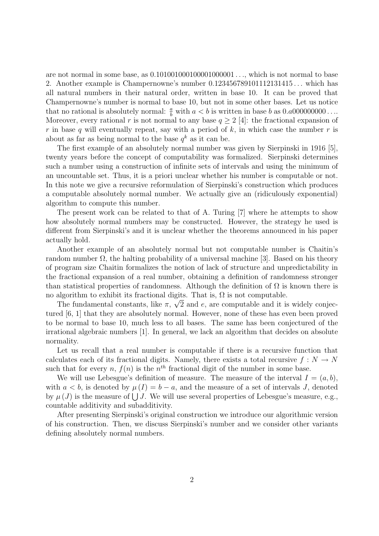are not normal in some base, as  $0.1010010001000001000001...$ , which is not normal to base 2. Another example is Champernowne's number 0.123456789101112131415 . . . which has all natural numbers in their natural order, written in base 10. It can be proved that Champernowne's number is normal to base 10, but not in some other bases. Let us notice that no rational is absolutely normal:  $\frac{a}{b}$  with  $a < b$  is written in base b as  $0.a000000000...$ Moreover, every rational r is not normal to any base  $q \geq 2$  [4]: the fractional expansion of r in base q will eventually repeat, say with a period of k, in which case the number r is about as far as being normal to the base  $q^k$  as it can be.

The first example of an absolutely normal number was given by Sierpinski in 1916 [5], twenty years before the concept of computability was formalized. Sierpinski determines such a number using a construction of infinite sets of intervals and using the minimum of an uncountable set. Thus, it is a priori unclear whether his number is computable or not. In this note we give a recursive reformulation of Sierpinski's construction which produces a computable absolutely normal number. We actually give an (ridiculously exponential) algorithm to compute this number.

The present work can be related to that of A. Turing [7] where he attempts to show how absolutely normal numbers may be constructed. However, the strategy he used is different from Sierpinski's and it is unclear whether the theorems announced in his paper actually hold.

Another example of an absolutely normal but not computable number is Chaitin's random number  $\Omega$ , the halting probability of a universal machine [3]. Based on his theory of program size Chaitin formalizes the notion of lack of structure and unpredictability in the fractional expansion of a real number, obtaining a definition of randomness stronger than statistical properties of randomness. Although the definition of  $\Omega$  is known there is no algorithm to exhibit its fractional digits. That is,  $\Omega$  is not computable.

The fundamental constants, like  $\pi$ ,  $\sqrt{2}$  and e, are computable and it is widely conjectured [6, 1] that they are absolutely normal. However, none of these has even been proved to be normal to base 10, much less to all bases. The same has been conjectured of the irrational algebraic numbers [1]. In general, we lack an algorithm that decides on absolute normality.

Let us recall that a real number is computable if there is a recursive function that calculates each of its fractional digits. Namely, there exists a total recursive  $f: N \to N$ such that for every n,  $f(n)$  is the  $n<sup>th</sup>$  fractional digit of the number in some base.

We will use Lebesgue's definition of measure. The measure of the interval  $I = (a, b)$ , with  $a < b$ , is denoted by  $\mu(I) = b - a$ , and the measure of a set of intervals J, denoted by  $\mu(J)$  is the measure of  $\bigcup J$ . We will use several properties of Lebesgue's measure, e.g., countable additivity and subadditivity.

After presenting Sierpinski's original construction we introduce our algorithmic version of his construction. Then, we discuss Sierpinski's number and we consider other variants defining absolutely normal numbers.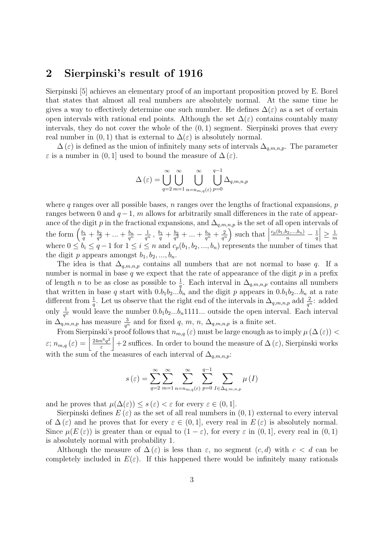### 2 Sierpinski's result of 1916

Sierpinski [5] achieves an elementary proof of an important proposition proved by E. Borel that states that almost all real numbers are absolutely normal. At the same time he gives a way to effectively determine one such number. He defines  $\Delta(\varepsilon)$  as a set of certain open intervals with rational end points. Although the set  $\Delta(\varepsilon)$  contains countably many intervals, they do not cover the whole of the  $(0, 1)$  segment. Sierpinski proves that every real number in  $(0, 1)$  that is external to  $\Delta(\varepsilon)$  is absolutely normal.

 $\Delta(\varepsilon)$  is defined as the union of infinitely many sets of intervals  $\Delta_{q,m,n,p}$ . The parameter  $\varepsilon$  is a number in  $(0, 1]$  used to bound the measure of  $\Delta(\varepsilon)$ .

$$
\Delta(\varepsilon) = \bigcup_{q=2}^{\infty} \bigcup_{m=1}^{\infty} \bigcup_{n=m,n,q(\varepsilon)}^{\infty} \bigcup_{p=0}^{q-1} \Delta_{q,m,n,p}
$$

where q ranges over all possible bases,  $n$  ranges over the lengths of fractional expansions,  $p$ ranges between 0 and  $q-1$ , m allows for arbitrarily small differences in the rate of appearance of the digit p in the fractional expansions, and  $\Delta_{q,m,n,p}$  is the set of all open intervals of the form  $\left(\frac{b_1}{q} + \frac{b_2}{q^2}\right)$  $\frac{b_2}{q^2} + ... + \frac{b_n}{q^n} - \frac{1}{q^n} \, , \, \frac{b_1}{q} + \frac{b_2}{q^2}$  $\frac{b_2}{q^2} + ... + \frac{b_n}{q^n} + \frac{2}{q^n}$  $\frac{2}{q^n}$  such that  $\Big|$  $\frac{c_p(b_1,b_2,...,b_n)}{n} - \frac{1}{q}$ q  $\vert \geq \frac{1}{n}$ m where  $0 \leq b_i \leq q-1$  for  $1 \leq i \leq n$  and  $c_p(b_1, b_2, ..., b_n)$  represents the number of times that the digit p appears amongst  $b_1, b_2, ..., b_n$ .

The idea is that  $\Delta_{q,m,n,p}$  contains all numbers that are not normal to base q. If a number is normal in base q we expect that the rate of appearance of the digit  $p$  in a prefix of length *n* to be as close as possible to  $\frac{1}{a}$ . Each interval in  $\Delta_{q,m,n,p}$  contains all numbers that written in base q start with  $0.b_1b_2...b_n$  and the digit p appears in  $0.b_1b_2...b_n$  at a rate different from  $\frac{1}{q}$ . Let us observe that the right end of the intervals in  $\Delta_{q,m,n,p}$  add  $\frac{2}{q^n}$ : added only  $\frac{1}{q^n}$  would leave the number  $0.b_1b_2...b_n1111...$  outside the open interval. Each interval in  $\Delta_{q,m,n,p}$  has measure  $\frac{3}{q^n}$  and for fixed q, m, n,  $\Delta_{q,m,n,p}$  is a finite set.

From Sierpinski's proof follows that  $n_{m,q}(\varepsilon)$  must be large enough as to imply  $\mu(\Delta(\varepsilon))$  <  $\varepsilon; n_{m,q} \left( \varepsilon \right) = \left| \frac{24 m^6 q^2}{\varepsilon} \right|$  $\frac{e^{i\alpha}a^2}{\varepsilon}$  + 2 suffices. In order to bound the measure of  $\Delta\left(\varepsilon\right)$ , Sierpinski works with the sum of the measures of each interval of  $\Delta_{q,m,n,p}$ :

$$
s\left(\varepsilon\right) = \sum_{q=2}^{\infty} \sum_{m=1}^{\infty} \sum_{n=n_{m,q}(\varepsilon)}^{\infty} \sum_{p=0}^{q-1} \sum_{I \in \Delta_{q,m,n,p}} \mu\left(I\right)
$$

and he proves that  $\mu(\Delta(\varepsilon)) \leq s(\varepsilon) < \varepsilon$  for every  $\varepsilon \in (0,1]$ .

Sierpinski defines  $E(\varepsilon)$  as the set of all real numbers in  $(0,1)$  external to every interval of  $\Delta(\varepsilon)$  and he proves that for every  $\varepsilon \in (0,1]$ , every real in  $E(\varepsilon)$  is absolutely normal. Since  $\mu(E(\varepsilon))$  is greater than or equal to  $(1 - \varepsilon)$ , for every  $\varepsilon$  in  $(0, 1]$ , every real in  $(0, 1)$ is absolutely normal with probability 1.

Although the measure of  $\Delta(\varepsilon)$  is less than  $\varepsilon$ , no segment  $(c, d)$  with  $c < d$  can be completely included in  $E(\varepsilon)$ . If this happened there would be infinitely many rationals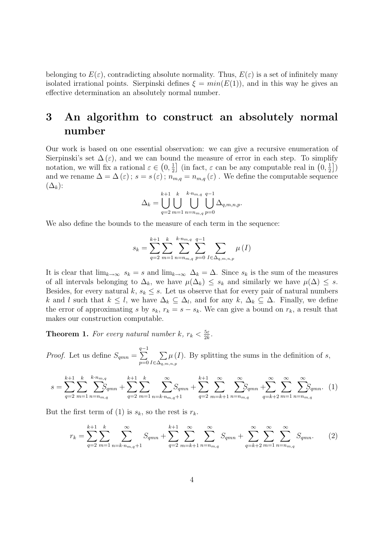belonging to  $E(\varepsilon)$ , contradicting absolute normality. Thus,  $E(\varepsilon)$  is a set of infinitely many isolated irrational points. Sierpinski defines  $\xi = min(E(1))$ , and in this way he gives an effective determination an absolutely normal number.

# 3 An algorithm to construct an absolutely normal number

Our work is based on one essential observation: we can give a recursive enumeration of Sierpinski's set  $\Delta(\varepsilon)$ , and we can bound the measure of error in each step. To simplify notation, we will fix a rational  $\varepsilon \in (0, \frac{1}{2})$  $\frac{1}{2}$ ] (in fact,  $\varepsilon$  can be any computable real in  $(0, \frac{1}{2})$  $\frac{1}{2}$ ) and we rename  $\Delta = \Delta (\varepsilon)$ ;  $s = s(\varepsilon)$ ;  $n_{m,q} = n_{m,q}(\varepsilon)$ . We define the computable sequence  $(\Delta_k)$ :

$$
\Delta_k = \bigcup_{q=2}^{k+1} \bigcup_{m=1}^k \bigcup_{n=n_{m,q}}^{k \cdot n_{m,q}} \bigcup_{p=0}^{q-1} \Delta_{q,m,n,p}.
$$

We also define the bounds to the measure of each term in the sequence:

$$
s_{k} = \sum_{q=2}^{k+1} \sum_{m=1}^{k} \sum_{n=n_{m,q}}^{k \cdot n_{m,q}} \sum_{p=0}^{q-1} \sum_{I \in \Delta_{q,m,n,p}} \mu(I)
$$

It is clear that  $\lim_{k\to\infty} s_k = s$  and  $\lim_{k\to\infty} \Delta_k = \Delta$ . Since  $s_k$  is the sum of the measures of all intervals belonging to  $\Delta_k$ , we have  $\mu(\Delta_k) \leq s_k$  and similarly we have  $\mu(\Delta) \leq s$ . Besides, for every natural k,  $s_k \leq s$ . Let us observe that for every pair of natural numbers k and l such that  $k \leq l$ , we have  $\Delta_k \subseteq \Delta_l$ , and for any  $k, \Delta_k \subseteq \Delta$ . Finally, we define the error of approximating s by  $s_k$ ,  $r_k = s - s_k$ . We can give a bound on  $r_k$ , a result that makes our construction computable.

**Theorem 1.** For every natural number k,  $r_k < \frac{5\varepsilon}{2k}$  $\frac{5\varepsilon}{2k}$  .

*Proof.* Let us define  $S_{qmn} =$  $\sum_{ }^{q-1}$  $p=0$  $\sum$  $I \in \Delta_{q,m,n,p}$  $\mu(I)$ . By splitting the sums in the definition of s,

$$
s = \sum_{q=2}^{k+1} \sum_{m=1}^{k} \sum_{n=m,q}^{k+n_{m,q}} S_{qmn} + \sum_{q=2}^{k+1} \sum_{m=1}^{k} \sum_{n=k+n_{m,q}+1}^{\infty} S_{qmn} + \sum_{q=2}^{k+1} \sum_{m=k+1}^{\infty} \sum_{n=n_{m,q}}^{\infty} S_{qmn} + \sum_{q=k+2}^{\infty} \sum_{m=1}^{\infty} \sum_{n=n_{m,q}}^{\infty} S_{qmn}.
$$
 (1)

But the first term of (1) is  $s_k$ , so the rest is  $r_k$ .

$$
r_{k} = \sum_{q=2}^{k+1} \sum_{m=1}^{k} \sum_{n=k \cdot n_{m,q}+1}^{\infty} S_{qmn} + \sum_{q=2}^{k+1} \sum_{m=k+1}^{\infty} \sum_{n=n_{m,q}}^{\infty} S_{qmn} + \sum_{q=k+2}^{\infty} \sum_{m=1}^{\infty} \sum_{n=n_{m,q}}^{\infty} S_{qmn}.
$$
 (2)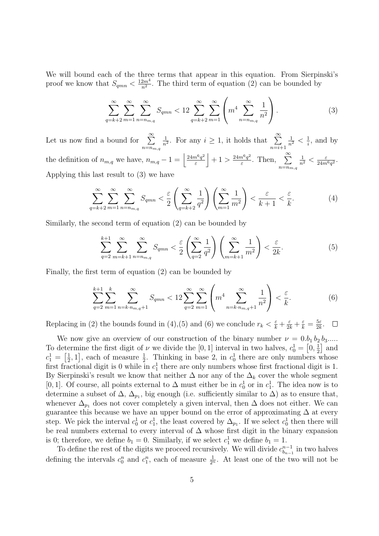We will bound each of the three terms that appear in this equation. From Sierpinski's proof we know that  $S_{qmn} < \frac{12m^4}{n^2}$  $\frac{2m^4}{n^2}$ . The third term of equation (2) can be bounded by

$$
\sum_{q=k+2}^{\infty} \sum_{m=1}^{\infty} \sum_{n=n_{m,q}}^{\infty} S_{qmn} < 12 \sum_{q=k+2}^{\infty} \sum_{m=1}^{\infty} \left( m^4 \sum_{n=n_{m,q}}^{\infty} \frac{1}{n^2} \right). \tag{3}
$$

Let us now find a bound for  $\sum_{n=1}^{\infty}$  $n = n_{m,q}$ 1  $\frac{1}{n^2}$ . For any  $i \geq 1$ , it holds that  $\sum_{i=1}^{\infty}$  $n=i+1$  $\frac{1}{n^2} < \frac{1}{i}$  $\frac{1}{i}$ , and by the definition of  $n_{m,q}$  we have,  $n_{m,q}-1=\left(\frac{24m^6q^2}{\epsilon}\right)^2$  $\left| \frac{n^6q^2}{\varepsilon} \right| + 1 > \frac{24m^6q^2}{\varepsilon}$  $\frac{n^6q^2}{\varepsilon}$ . Then,  $\sum_{ }^{\infty}$  $n = n_{m,q}$  $\frac{1}{n^2} < \frac{\varepsilon}{24m}$  $\frac{\varepsilon}{24m^6q^2}$ . Applying this last result to (3) we have

$$
\sum_{q=k+2}^{\infty} \sum_{m=1}^{\infty} \sum_{n=m_{m,q}}^{\infty} S_{qmn} < \frac{\varepsilon}{2} \left( \sum_{q=k+2}^{\infty} \frac{1}{q^2} \right) \left( \sum_{m=1}^{\infty} \frac{1}{m^2} \right) < \frac{\varepsilon}{k+1} < \frac{\varepsilon}{k}.\tag{4}
$$

Similarly, the second term of equation (2) can be bounded by

$$
\sum_{q=2}^{k+1} \sum_{m=k+1}^{\infty} \sum_{n=n_{m,q}}^{\infty} S_{qmn} < \frac{\varepsilon}{2} \left( \sum_{q=2}^{\infty} \frac{1}{q^2} \right) \left( \sum_{m=k+1}^{\infty} \frac{1}{m^2} \right) < \frac{\varepsilon}{2k}.\tag{5}
$$

Finally, the first term of equation (2) can be bounded by

$$
\sum_{q=2}^{k+1} \sum_{m=1}^{k} \sum_{n=k \cdot n_{m,q}+1}^{\infty} S_{qmn} < 12 \sum_{q=2}^{\infty} \sum_{m=1}^{\infty} \left( m^4 \sum_{n=k \cdot n_{m,q}+1}^{\infty} \frac{1}{n^2} \right) < \frac{\varepsilon}{k}.\tag{6}
$$

Replacing in (2) the bounds found in (4),(5) and (6) we conclude  $r_k < \frac{\varepsilon}{k} + \frac{\varepsilon}{2k} + \frac{\varepsilon}{k} = \frac{5\varepsilon}{2k}$  $\frac{5\varepsilon}{2k}$ .

We now give an overview of our construction of the binary number  $\nu = 0.b_1 b_2 b_3....$ To determine the first digit of  $\nu$  we divide the [0, 1] interval in two halves,  $c_0^1 = \left[0, \frac{1}{2}\right]$  $\frac{1}{2}$  and  $c_1^1 = \left[\frac{1}{2}\right]$  $\frac{1}{2}$ , 1], each of measure  $\frac{1}{2}$ . Thinking in base 2, in  $c_0^1$  there are only numbers whose first fractional digit is 0 while in  $c_1^1$  there are only numbers whose first fractional digit is 1. By Sierpinski's result we know that neither  $\Delta$  nor any of the  $\Delta_k$  cover the whole segment [0, 1]. Of course, all points external to  $\Delta$  must either be in  $c_0^1$  or in  $c_1^1$ . The idea now is to determine a subset of  $\Delta$ ,  $\Delta_{p_1}$ , big enough (i.e. sufficiently similar to  $\Delta$ ) as to ensure that, whenever  $\Delta_{p_1}$  does not cover completely a given interval, then  $\Delta$  does not either. We can guarantee this because we have an upper bound on the error of approximating  $\Delta$  at every step. We pick the interval  $c_0^1$  or  $c_1^1$ , the least covered by  $\Delta_{p_1}$ . If we select  $c_0^1$  then there will be real numbers external to every interval of  $\Delta$  whose first digit in the binary expansion is 0; therefore, we define  $b_1 = 0$ . Similarly, if we select  $c_1^1$  we define  $b_1 = 1$ .

To define the rest of the digits we proceed recursively. We will divide  $c_{b_n}^{n-1}$  $\sum_{b_{n-1}}^{n-1}$  in two halves defining the intervals  $c_0^n$  and  $c_1^n$ , each of measure  $\frac{1}{2^n}$ . At least one of the two will not be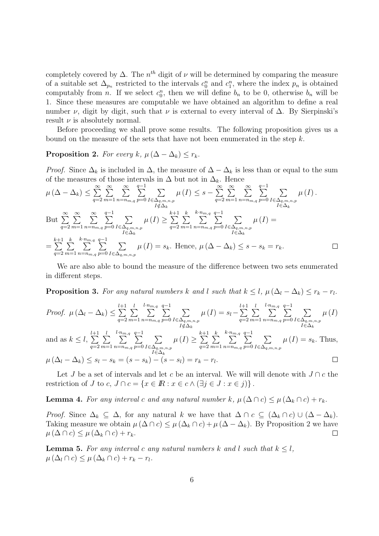completely covered by  $\Delta$ . The  $n^{th}$  digit of  $\nu$  will be determined by comparing the measure of a suitable set  $\Delta_{p_n}$  restricted to the intervals  $c_0^n$  and  $c_1^n$ , where the index  $p_n$  is obtained computably from *n*. If we select  $c_0^n$ , then we will define  $b_n$  to be 0, otherwise  $b_n$  will be 1. Since these measures are computable we have obtained an algorithm to define a real number  $\nu$ , digit by digit, such that  $\nu$  is external to every interval of  $\Delta$ . By Sierpinski's result  $\nu$  is absolutely normal.

Before proceeding we shall prove some results. The following proposition gives us a bound on the measure of the sets that have not been enumerated in the step  $k$ .

#### **Proposition 2.** For every k,  $\mu$  ( $\Delta - \Delta_k$ )  $\leq r_k$ .

*Proof.* Since  $\Delta_k$  is included in  $\Delta$ , the measure of  $\Delta - \Delta_k$  is less than or equal to the sum of the measures of those intervals in  $\Delta$  but not in  $\Delta_k$ . Hence

$$
\mu(\Delta - \Delta_{k}) \leq \sum_{q=2}^{\infty} \sum_{m=1}^{\infty} \sum_{n=n_{m,q}}^{\infty} \sum_{p=0}^{q-1} \sum_{I \in \Delta_{q,m,n,p}} \mu(I) \leq s - \sum_{q=2}^{\infty} \sum_{m=1}^{\infty} \sum_{n=n_{m,q}}^{\infty} \sum_{p=0}^{q-1} \sum_{I \in \Delta_{q,m,n,p}} \mu(I).
$$
  
But 
$$
\sum_{q=2}^{\infty} \sum_{m=1}^{\infty} \sum_{n=n_{m,q}}^{\infty} \sum_{p=0}^{\infty} \sum_{I \in \Delta_{q,m,n,p}}^{\infty} \mu(I) \geq \sum_{q=2}^{k+1} \sum_{m=1}^{k} \sum_{n=n_{m,q}}^{\infty} \sum_{p=0}^{\infty} \sum_{I \in \Delta_{q,m,n,p}}^{\infty} \mu(I) =
$$
  

$$
= \sum_{q=2}^{k+1} \sum_{m=1}^{k} \sum_{n=m_{m,q}}^{\infty} \sum_{p=0}^{\infty} \sum_{I \in \Delta_{q,m,n,p}} \mu(I) = s_{k}.
$$
 Hence,  $\mu(\Delta - \Delta_{k}) \leq s - s_{k} = r_{k}.$ 

We are also able to bound the measure of the difference between two sets enumerated in different steps.

**Proposition 3.** For any natural numbers k and l such that  $k \leq l$ ,  $\mu(\Delta_l - \Delta_k) \leq r_k - r_l$ .

Proof. 
$$
\mu(\Delta_l - \Delta_k) \leq \sum_{q=2}^{l+1} \sum_{m=1}^{l} \sum_{n=m,q}^{l+n} \sum_{p=0}^{q-1} \sum_{I \in \Delta_q, m, n, p} \mu(I) = s_l - \sum_{q=2}^{l+1} \sum_{m=1}^{l} \sum_{n=m,q}^{l+n} \sum_{p=0}^{q-1} \sum_{I \in \Delta_q, m, n, p} \mu(I)
$$
  
\nand as  $k \leq l$ ,  $\sum_{q=2}^{l+1} \sum_{m=1}^{l} \sum_{n=m,q}^{l+n} \sum_{p=0}^{q-1} \sum_{I \in \Delta_q, m, n, p} \mu(I) \geq \sum_{q=2}^{k+1} \sum_{m=1}^{k} \sum_{n=m,q}^{k+n} \sum_{p=0}^{q-1} \sum_{I \in \Delta_q, m, n, p} \mu(I) = s_k$ . Thus,  
\n $\mu(\Delta_l - \Delta_k) \leq s_l - s_k = (s - s_k) - (s - s_l) = r_k - r_l$ .

Let J be a set of intervals and let c be an interval. We will will denote with  $J \cap c$  the restriction of J to  $c, J \cap c = \{x \in \mathbb{R} : x \in c \wedge (\exists j \in J : x \in j)\}\.$ 

**Lemma 4.** For any interval c and any natural number k,  $\mu(\Delta \cap c) \leq \mu(\Delta_k \cap c) + r_k$ .

*Proof.* Since  $\Delta_k \subseteq \Delta$ , for any natural k we have that  $\Delta \cap c \subseteq (\Delta_k \cap c) \cup (\Delta - \Delta_k)$ . Taking measure we obtain  $\mu(\Delta \cap c) \leq \mu(\Delta_k \cap c) + \mu(\Delta - \Delta_k)$ . By Proposition 2 we have  $\mu(\Delta \cap c) \leq \mu(\Delta_k \cap c) + r_k.$  $\Box$ 

**Lemma 5.** For any interval c any natural numbers k and l such that  $k \leq l$ ,  $\mu\left(\Delta_{l} \cap c\right) \leq \mu\left(\Delta_{k} \cap c\right) + r_{k} - r_{l}.$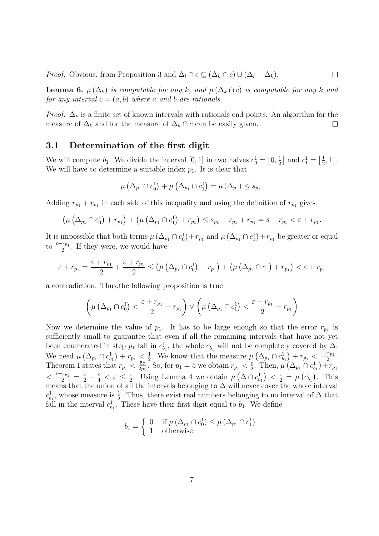*Proof.* Obvious, from Proposition 3 and  $\Delta_l \cap c \subseteq (\Delta_k \cap c) \cup (\Delta_l - \Delta_k)$ .  $\Box$ 

**Lemma 6.**  $\mu(\Delta_k)$  is computable for any k, and  $\mu(\Delta_k \cap c)$  is computable for any k and for any interval  $c = (a, b)$  where a and b are rationals.

*Proof.*  $\Delta_k$  is a finite set of known intervals with rationals end points. An algorithm for the measure of  $\Delta_k$  and for the measure of  $\Delta_k \cap c$  can be easily given.  $\Box$ 

#### 3.1 Determination of the first digit

We will compute  $b_1$ . We divide the interval [0, 1] in two halves  $c_0^1 = \left[0, \frac{1}{2}\right]$  $\frac{1}{2}$  and  $c_1^1 = \left[\frac{1}{2}\right]$  $\frac{1}{2}, 1$ . We will have to determine a suitable index  $p_1$ . It is clear that

$$
\mu\left(\Delta_{p_1}\cap c_0^1\right)+\mu\left(\Delta_{p_1}\cap c_1^1\right)=\mu\left(\Delta_{p_1}\right)\leq s_{p_1}.
$$

Adding  $r_{p_1} + r_{p_1}$  in each side of this inequality and using the definition of  $r_{p_1}$  gives

$$
(\mu (\Delta_{p_1} \cap c_0^1) + r_{p_1}) + (\mu (\Delta_{p_1} \cap c_1^1) + r_{p_1}) \leq s_{p_1} + r_{p_1} + r_{p_1} = s + r_{p_1} < \varepsilon + r_{p_1}.
$$

It is impossible that both terms  $\mu$   $(\Delta_{p_1} \cap c_0^1) + r_{p_1}$  and  $\mu$   $(\Delta_{p_1} \cap c_1^1) + r_{p_1}$  be greater or equal to  $\frac{\varepsilon + r_{p_1}}{2}$ . If they were, we would have

$$
\varepsilon + r_{p_1} = \frac{\varepsilon + r_{p_1}}{2} + \frac{\varepsilon + r_{p_1}}{2} \le (\mu \left(\Delta_{p_1} \cap c_0^1\right) + r_{p_1}) + (\mu \left(\Delta_{p_1} \cap c_1^1\right) + r_{p_1}) < \varepsilon + r_{p_1}
$$

a contradiction. Thus,the following proposition is true

$$
\left(\mu\left(\Delta_{p_1}\cap c_0^1\right)<\frac{\varepsilon+r_{p_1}}{2}-r_{p_1}\right)\vee\left(\mu\left(\Delta_{p_1}\cap c_1^1\right)<\frac{\varepsilon+r_{p_1}}{2}-r_{p_1}\right)
$$

Now we determine the value of  $p_1$ . It has to be large enough so that the error  $r_{p_1}$  is sufficiently small to guarantee that even if all the remaining intervals that have not yet been enumerated in step  $p_1$  fall in  $c_{b_1}^1$ , the whole  $c_{b_1}^1$  will not be completely covered by  $\Delta$ . We need  $\mu\left(\Delta_{p_1} \cap c_{b_1}^1\right) + r_{p_1} \leq \frac{1}{2}$ <sup>1</sup>/<sub>2</sub>. We know that the measure  $\mu\left(\Delta_{p_1} \cap c_{b_1}^1\right) + r_{p_1} < \frac{\varepsilon + r_{p_1}}{2}$  $\frac{r_{p_1}}{2}$ . Theorem 1 states that  $r_{p_1} < \frac{5\varepsilon}{2p}$  $\frac{5\varepsilon}{2p_1}$ . So, for  $p_1 = 5$  we obtain  $r_{p_1} < \frac{\varepsilon}{2}$  $\frac{\varepsilon}{2}$ . Then,  $\mu(\Delta_{p_1} \cap c_{b_1}^1) + r_{p_1}$  $\langle \frac{\varepsilon + r_{p_1}}{2} = \frac{\varepsilon}{2} + \frac{\varepsilon}{4} \langle \varepsilon \rangle \leq \frac{1}{2}$  $\frac{1}{2}$ . Using Lemma 4 we obtain  $\mu\left(\Delta \cap c_{b_1}^1\right) < \frac{1}{2} = \mu\left(c_{b_1}^1\right)$ . This means that the union of all the intervals belonging to  $\Delta$  will never cover the whole interval  $c_{b_1}^1$ , whose measure is  $\frac{1}{2}$ . Thus, there exist real numbers belonging to no interval of  $\Delta$  that fall in the interval  $c_{b_1}^1$ . These have their first digit equal to  $b_1$ . We define

$$
b_1 = \begin{cases} 0 & \text{if } \mu(\Delta_{p_1} \cap c_0^1) \leq \mu(\Delta_{p_1} \cap c_1^1) \\ 1 & \text{otherwise} \end{cases}
$$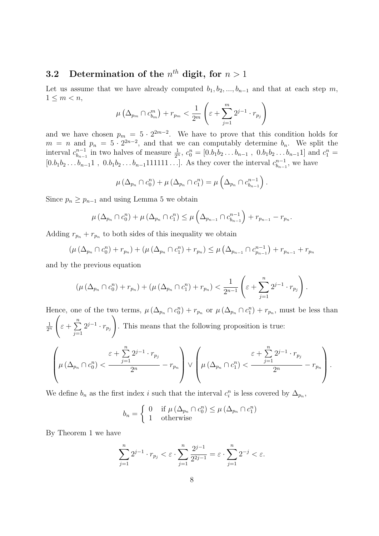## **3.2** Determination of the  $n^{th}$  digit, for  $n > 1$

Let us assume that we have already computed  $b_1, b_2, ..., b_{n-1}$  and that at each step m,  $1 \leq m < n$ ,

$$
\mu\left(\Delta_{p_m} \cap c_{b_m}^m\right) + r_{p_m} < \frac{1}{2^m} \left(\varepsilon + \sum_{j=1}^m 2^{j-1} \cdot r_{p_j}\right)
$$

and we have chosen  $p_m = 5 \cdot 2^{2m-2}$ . We have to prove that this condition holds for  $m = n$  and  $p_n = 5 \cdot 2^{2n-2}$ , and that we can computably determine  $b_n$ . We split the interval  $c_{b_n}^{n-1}$  $b_{n-1}^{n-1}$  in two halves of measure  $\frac{1}{2^n}$ ,  $c_0^n = [0.b_1b_2 \ldots b_{n-1}$ ,  $0.b_1b_2 \ldots b_{n-1}1]$  and  $c_1^n =$  $[0.b_1b_2...b_{n-1}1, 0.b_1b_2...b_{n-1}111111...]$ . As they cover the interval  $c_{b_{n-1}}^{n-1}$  $b_{n-1}^{n-1}$ , we have

$$
\mu\left(\Delta_{p_n}\cap c_0^n\right)+\mu\left(\Delta_{p_n}\cap c_1^n\right)=\mu\left(\Delta_{p_n}\cap c_{b_{n-1}}^{n-1}\right).
$$

Since  $p_n \geq p_{n-1}$  and using Lemma 5 we obtain

$$
\mu (\Delta_{p_n} \cap c_0^n) + \mu (\Delta_{p_n} \cap c_1^n) \leq \mu \left( \Delta_{p_{n-1}} \cap c_{b_{n-1}}^{n-1} \right) + r_{p_{n-1}} - r_{p_n}.
$$

Adding  $r_{p_n} + r_{p_n}$  to both sides of this inequality we obtain

$$
(\mu (\Delta_{p_n} \cap c_0^n) + r_{p_n}) + (\mu (\Delta_{p_n} \cap c_1^n) + r_{p_n}) \leq \mu (\Delta_{p_{n-1}} \cap c_{p_{n-1}}^{n-1}) + r_{p_{n-1}} + r_{p_n}
$$

and by the previous equation

$$
(\mu (\Delta_{p_n} \cap c_0^n) + r_{p_n}) + (\mu (\Delta_{p_n} \cap c_1^n) + r_{p_n}) < \frac{1}{2^{n-1}} \left( \varepsilon + \sum_{j=1}^n 2^{j-1} \cdot r_{p_j} \right).
$$

Hence, one of the two terms,  $\mu(\Delta_{p_n} \cap c_0^n) + r_{p_n}$  or  $\mu(\Delta_{p_n} \cap c_1^n) + r_{p_n}$ , must be less than 1  $\overline{2^n}$  $\sqrt{2}$  $\varepsilon + \sum_{n=1}^{\infty}$  $j=1$  $2^{j-1} \cdot r_{p_j}$  $\setminus$ . This means that the following proposition is true:  $\sqrt{ }$  $\mu\left(\Delta_{p_n}\cap c_0^n\right)<$  $\varepsilon + \sum^{n}$  $j=1$  $2^{j-1} \cdot r_{p_j}$  $\frac{1}{2^n} - r_{p_n}$  $\setminus$  ∨  $\sqrt{ }$  $\mu\left(\Delta_{p_n}\cap c_1^n\right)$  <  $\varepsilon+\sum^{n}$  $j=1$  $2^{j-1} \cdot r_{p_j}$  $\frac{1}{2^n} - r_{p_n}$  $\setminus$  $\int$ 

We define  $b_n$  as the first index i such that the interval  $c_i^n$  is less covered by  $\Delta_{p_n}$ ,

$$
b_n = \begin{cases} 0 & \text{if } \mu(\Delta_{p_n} \cap c_0^n) \le \mu(\Delta_{p_n} \cap c_1^n) \\ 1 & \text{otherwise} \end{cases}
$$

By Theorem 1 we have

$$
\sum_{j=1}^{n} 2^{j-1} \cdot r_{p_j} < \varepsilon \cdot \sum_{j=1}^{n} \frac{2^{j-1}}{2^{2j-1}} = \varepsilon \cdot \sum_{j=1}^{n} 2^{-j} < \varepsilon.
$$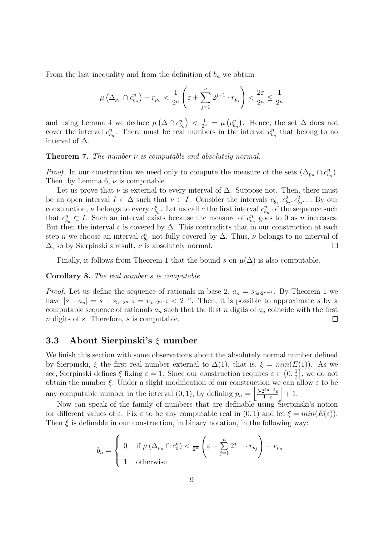From the last inequality and from the definition of  $b_n$  we obtain

$$
\mu\left(\Delta_{p_n} \cap c_{b_n}^n\right) + r_{p_n} < \frac{1}{2^n} \left(\varepsilon + \sum_{j=1}^n 2^{j-1} \cdot r_{p_j}\right) < \frac{2\varepsilon}{2^n} \le \frac{1}{2^n}
$$

and using Lemma 4 we deduce  $\mu(\Delta \cap c_{b_n}^n) < \frac{1}{2^n} = \mu(c_{b_n}^n)$ . Hence, the set  $\Delta$  does not cover the interval  $c_{b_n}^n$ . There must be real numbers in the interval  $c_{b_n}^n$  that belong to no interval of  $\Delta$ .

**Theorem 7.** The number  $\nu$  is computable and absolutely normal.

*Proof.* In our construction we need only to compute the measure of the sets  $(\Delta_{p_n} \cap c_{b_n}^n)$ . Then, by Lemma 6,  $\nu$  is computable.

Let us prove that  $\nu$  is external to every interval of  $\Delta$ . Suppose not. Then, there must be an open interval  $I \in \Delta$  such that  $\nu \in I$ . Consider the intervals  $c_{b_1}^1, c_{b_2}^2, c_{b_3}^2, \dots$  By our construction,  $\nu$  belongs to every  $c_{b_n}^n$ . Let us call c the first interval  $c_{b_n}^n$  of the sequence such that  $c_{b_n}^n \subset I$ . Such an interval exists because the measure of  $c_{b_n}^n$  goes to 0 as n increases. But then the interval c is covered by  $\Delta$ . This contradicts that in our construction at each step *n* we choose an interval  $c_{b_n}^n$  not fully covered by  $\Delta$ . Thus,  $\nu$  belongs to no interval of  $\Delta$ , so by Sierpinski's result,  $\nu$  is absolutely normal.  $\Box$ 

Finally, it follows from Theorem 1 that the bound s on  $\mu(\Delta)$  is also computable.

Corollary 8. The real number s is computable.

*Proof.* Let us define the sequence of rationals in base 2,  $a_n = s_{5\varepsilon \cdot 2^{n-1}}$ . By Theorem 1 we have  $|s - a_n| = s - s_{5\varepsilon \cdot 2^{n-1}} = r_{5\varepsilon \cdot 2^{n-1}} < 2^{-n}$ . Then, it is possible to approximate s by a computable sequence of rationals  $a_n$  such that the first n digits of  $a_n$  coincide with the first n digits of s. Therefore, s is computable.  $\Box$ 

#### 3.3 About Sierpinski's  $\xi$  number

We finish this section with some observations about the absolutely normal number defined by Sierpinski,  $\xi$  the first real number external to  $\Delta(1)$ , that is,  $\xi = min(E(1))$ . As we see, Sierpinski defines  $\xi$  fixing  $\varepsilon = 1$ . Since our construction requires  $\varepsilon \in (0, \frac{1}{2})$  $\frac{1}{2}$ , we do not obtain the number  $\xi$ . Under a slight modification of our construction we can allow  $\varepsilon$  to be any computable number in the interval  $(0, 1)$ , by defining  $p_n = \left\lfloor \frac{5 \cdot 2^{2n-2} \varepsilon}{1-\varepsilon} \right\rfloor$  $\frac{2^{2n-2}\varepsilon}{1-\varepsilon}$  + 1.

Now can speak of the family of numbers that are definable using Sierpinski's notion for different values of  $\varepsilon$ . Fix  $\varepsilon$  to be any computable real in  $(0, 1)$  and let  $\xi = min(E(\varepsilon))$ . Then  $\xi$  is definable in our construction, in binary notation, in the following way:

$$
b_n = \begin{cases} 0 & \text{if } \mu(\Delta_{p_n} \cap c_0^n) < \frac{1}{2^n} \left( \varepsilon + \sum_{j=1}^n 2^{j-1} \cdot r_{p_j} \right) - r_{p_n} \\ 1 & \text{otherwise} \end{cases}
$$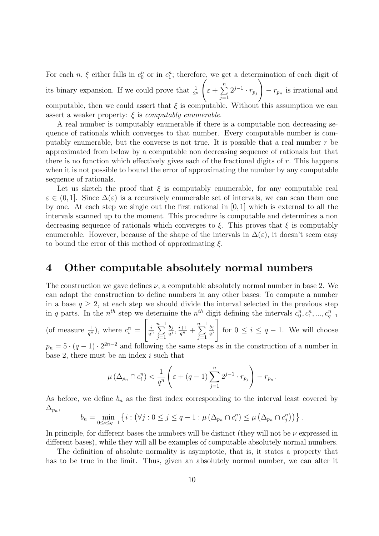For each  $n, \xi$  either falls in  $c_0^n$  or in  $c_1^n$ ; therefore, we get a determination of each digit of its binary expansion. If we could prove that  $\frac{1}{2^n}$  $\sqrt{ }$  $\varepsilon + \sum_{n=1}^{\infty}$  $j=1$  $2^{j-1} \cdot r_{p_j}$  $\setminus$  $-r_{p_n}$  is irrational and computable, then we could assert that  $\xi$  is computable. Without this assumption we can assert a weaker property:  $\xi$  is computably enumerable.

A real number is computably enumerable if there is a computable non decreasing sequence of rationals which converges to that number. Every computable number is computably enumerable, but the converse is not true. It is possible that a real number  $r$  be approximated from below by a computable non decreasing sequence of rationals but that there is no function which effectively gives each of the fractional digits of  $r$ . This happens when it is not possible to bound the error of approximating the number by any computable sequence of rationals.

Let us sketch the proof that  $\xi$  is computably enumerable, for any computable real  $\varepsilon \in (0,1]$ . Since  $\Delta(\varepsilon)$  is a recursively enumerable set of intervals, we can scan them one by one. At each step we single out the first rational in [0, 1] which is external to all the intervals scanned up to the moment. This procedure is computable and determines a non decreasing sequence of rationals which converges to  $\xi$ . This proves that  $\xi$  is computably enumerable. However, because of the shape of the intervals in  $\Delta(\varepsilon)$ , it doesn't seem easy to bound the error of this method of approximating  $\xi$ .

### 4 Other computable absolutely normal numbers

The construction we gave defines  $\nu$ , a computable absolutely normal number in base 2. We can adapt the construction to define numbers in any other bases: To compute a number in a base  $q \geq 2$ , at each step we should divide the interval selected in the previous step in q parts. In the  $n^{th}$  step we determine the  $n^{th}$  digit defining the intervals  $c_0^n, c_1^n, ..., c_{q-1}^n$ 

(of measure  $\frac{1}{q^n}$ ), where  $c_i^n =$  $\left[\begin{array}{c}i\end{array}\right]$  $\frac{i}{q^n} \sum_{n=1}^{n-1}$  $j=1$  $b_j$  $\frac{b_j}{q^j}, \frac{i+1}{q^n} + \sum_{i=1}^{n-1}$  $j=1$  $b_j$  $\overline{q^j}$ 1 for  $0 \leq i \leq q-1$ . We will choose

 $p_n = 5 \cdot (q-1) \cdot 2^{2n-2}$  and following the same steps as in the construction of a number in base 2, there must be an index  $i$  such that

$$
\mu\left(\Delta_{p_n}\cap c_i^n\right)<\frac{1}{q^n}\left(\varepsilon+(q-1)\sum_{j=1}^n 2^{j-1}\cdot r_{p_j}\right)-r_{p_n}.
$$

As before, we define  $b_n$  as the first index corresponding to the interval least covered by  $\Delta_{p_n},$ 

$$
b_n = \min_{0 \leq i \leq q-1} \left\{ i : \left( \forall j : 0 \leq j \leq q-1 : \mu \left( \Delta_{p_n} \cap c_i^n \right) \leq \mu \left( \Delta_{p_n} \cap c_j^n \right) \right) \right\}.
$$

In principle, for different bases the numbers will be distinct (they will not be  $\nu$  expressed in different bases), while they will all be examples of computable absolutely normal numbers.

The definition of absolute normality is asymptotic, that is, it states a property that has to be true in the limit. Thus, given an absolutely normal number, we can alter it